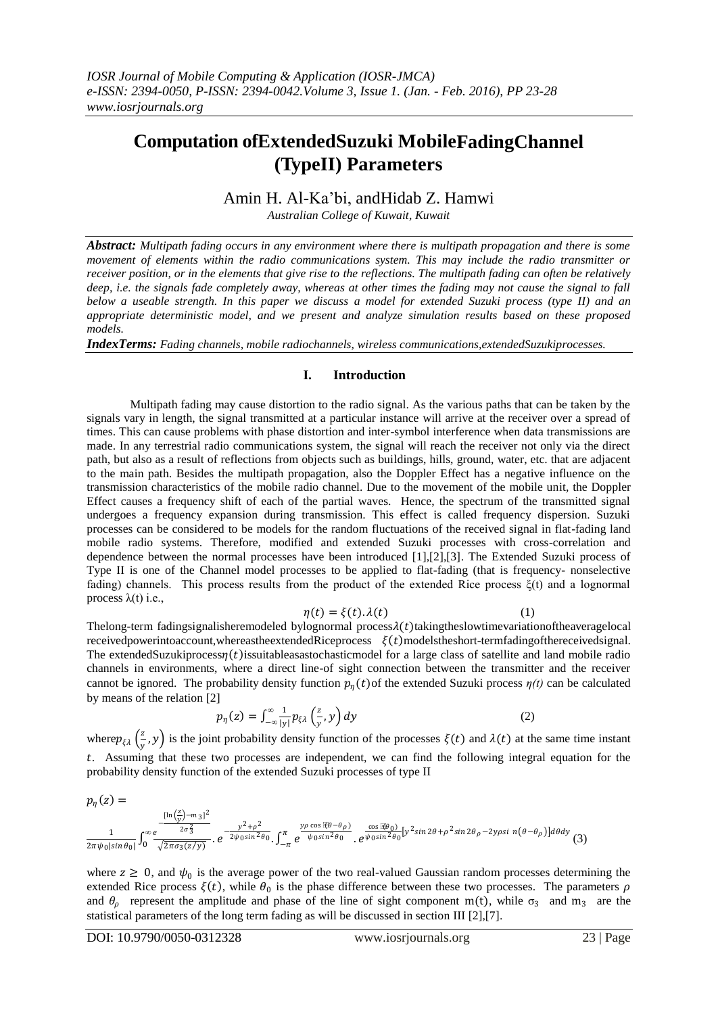# **Computation ofExtendedSuzuki MobileFadingChannel (TypeII) Parameters**

## Amin H. Al-Ka'bi, andHidab Z. Hamwi

*Australian College of Kuwait, Kuwait*

*Abstract: Multipath fading occurs in any environment where there is multipath propagation and there is some movement of elements within the radio communications system. This may include the radio transmitter or receiver position, or in the elements that give rise to the reflections. The multipath fading can often be relatively deep, i.e. the signals fade completely away, whereas at other times the fading may not cause the signal to fall below a useable strength. In this paper we discuss a model for extended Suzuki process (type II) and an appropriate deterministic model, and we present and analyze simulation results based on these proposed models.*

*IndexTerms: Fading channels, mobile radiochannels, wireless communications,extendedSuzukiprocesses.*

#### **I. Introduction**

Multipath fading may cause distortion to the radio signal. As the various paths that can be taken by the signals vary in length, the signal transmitted at a particular instance will arrive at the receiver over a spread of times. This can cause problems with phase distortion and inter-symbol interference when data transmissions are made. In any terrestrial radio communications system, the signal will reach the receiver not only via the direct path, but also as a result of reflections from objects such as buildings, hills, ground, water, etc. that are adjacent to the main path. Besides the multipath propagation, also the Doppler Effect has a negative influence on the transmission characteristics of the mobile radio channel. Due to the movement of the mobile unit, the Doppler Effect causes a frequency shift of each of the partial waves. Hence, the spectrum of the transmitted signal undergoes a frequency expansion during transmission. This effect is called frequency dispersion. Suzuki processes can be considered to be models for the random fluctuations of the received signal in flat-fading land mobile radio systems. Therefore, modified and extended Suzuki processes with cross-correlation and dependence between the normal processes have been introduced [1],[2],[3]. The Extended Suzuki process of Type II is one of the Channel model processes to be applied to flat-fading (that is frequency- nonselective fading) channels. This process results from the product of the extended Rice process  $\xi(t)$  and a lognormal process λ(t) i.e.,

$$
\eta(t) = \xi(t) \cdot \lambda(t) \tag{1}
$$

The long-term fadingsignalisheremodeled by lognormal process  $\lambda(t)$  taking the slowtime variation of the average local receivedpowerintoaccount,whereastheextendedRiceprocess  $\xi(t)$  modelstheshort-termfadingofthereceivedsignal. The extendedSuzukiprocess $\eta(t)$  issuitableasastochasticmodel for a large class of satellite and land mobile radio channels in environments, where a direct line-of sight connection between the transmitter and the receiver cannot be ignored. The probability density function  $p_n(t)$  of the extended Suzuki process  $\eta(t)$  can be calculated by means of the relation [2]

$$
p_{\eta}(z) = \int_{-\infty}^{\infty} \frac{1}{|y|} p_{\xi\lambda} \left(\frac{z}{y}, y\right) dy \tag{2}
$$

where  $p_{\xi\lambda}$   $\left(\frac{z}{w}\right)$  $(\frac{2}{y}, y)$  is the joint probability density function of the processes  $\xi(t)$  and  $\lambda(t)$  at the same time instant . Assuming that these two processes are independent, we can find the following integral equation for the probability density function of the extended Suzuki processes of type II

$$
p_{\eta}(z) = \frac{\ln(\frac{z}{y}) - m_3i^2}{2\pi\psi_0|\sin\theta_0|} \int_0^\infty \frac{e^{-\frac{y^2 + \rho^2}{2\psi_0\sin^2\theta_0}}}{\sqrt{2\pi\sigma_3(z/y)}} \cdot e^{-\frac{y^2 + \rho^2}{2\psi_0\sin^2\theta_0}} \cdot \int_{-\pi}^\pi e^{\frac{y\rho\cos[\vartheta\theta - \theta\rho]}{\psi_0\sin^2\theta_0}} \cdot e^{\frac{\cos[\vartheta\theta_0]}{\psi_0\sin^2\theta_0}[y^2\sin2\theta + \rho^2\sin2\theta\rho - 2y\rho\sin[\theta - \theta\rho]]d\theta dy} (3)
$$

where  $z \geq 0$ , and  $\psi_0$  is the average power of the two real-valued Gaussian random processes determining the extended Rice process  $\xi(t)$ , while  $\theta_0$  is the phase difference between these two processes. The parameters  $\rho$ and  $\theta_{\rho}$  represent the amplitude and phase of the line of sight component m(t), while  $\sigma_3$  and m<sub>3</sub> are the statistical parameters of the long term fading as will be discussed in section III [2],[7].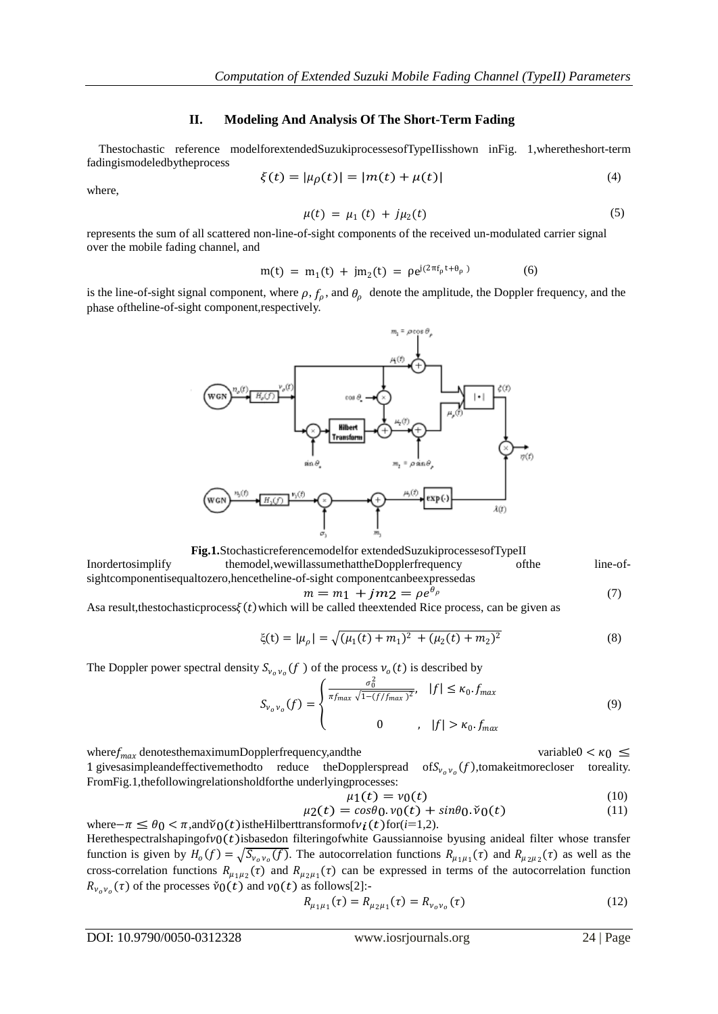#### **II. Modeling And Analysis Of The Short-Term Fading**

Thestochastic reference modelforextendedSuzukiprocessesofTypeIIisshown inFig. 1,wheretheshort-term fadingismodeledbytheprocess

$$
\xi(t) = |\mu_{\rho}(t)| = |m(t) + \mu(t)| \tag{4}
$$

where,

$$
\mu(t) = \mu_1(t) + j\mu_2(t) \tag{5}
$$

represents the sum of all scattered non-line-of-sight components of the received un-modulated carrier signal over the mobile fading channel, and

$$
m(t) = m_1(t) + jm_2(t) = \rho e^{j(2\pi f_\rho t + \theta_\rho)}
$$
(6)

is the line-of-sight signal component, where  $\rho$ ,  $f_{\rho}$ , and  $\theta_{\rho}$  denote the amplitude, the Doppler frequency, and the phase oftheline-of-sight component,respectively.



**Fig.1.**Stochasticreferencemodelfor extendedSuzukiprocessesofTypeII

Inordertosimplify themodel,wewillassumethattheDopplerfrequency ofthe line-ofsightcomponentisequaltozero,hencetheline-of-sight componentcanbeexpressedas

$$
m = m_1 + jm_2 = \rho e^{\theta_\rho} \tag{7}
$$

Asa result, thestochastic process  $\xi(t)$  which will be called the extended Rice process, can be given as

$$
\xi(t) = |\mu_{\rho}| = \sqrt{(\mu_1(t) + m_1)^2 + (\mu_2(t) + m_2)^2}
$$
\n(8)

The Doppler power spectral density  $S_{v_0v_0}(f)$  of the process  $v_0(t)$  is described by

$$
S_{v_0v_0}(f) = \begin{cases} \frac{\sigma_0^2}{\pi f_{max} \sqrt{1 - (f/f_{max})^2}}, & |f| \le \kappa_0. f_{max} \\ 0 & , |f| > \kappa_0. f_{max} \end{cases}
$$
(9)

where  $f_{max}$  denotes the maximum Doppler frequency, and the variable variable variable  $0 < \kappa_0 \leq$ 1 gives a simplean deffective method to reduce the Dopplers pread of  $S_{v_0v_0}(f)$ , to make it more closer to reality. FromFig.1,thefollowingrelationsholdforthe underlyingprocesses:

$$
\mu_1(t) = \nu_0(t) \tag{10}
$$

$$
\mu_2(t) = \cos\theta_0 \cdot v_0(t) + \sin\theta_0 \cdot \check{v}_0(t) \tag{11}
$$

where $-\pi \leq \theta_0 < \pi$ ,and $\tilde{\nu}_0(t)$  is the Hilbert transform of  $\nu_i(t)$  for  $(i=1,2)$ . Herethespectralshapingofv $0(t)$ isbasedon filteringofwhite Gaussiannoise byusing anideal filter whose transfer function is given by  $H_o(f) = \sqrt{S_{\nu_o \nu_o}(f)}$ . The autocorrelation functions  $R_{\mu_1\mu_1}(\tau)$  and  $R_{\mu_2\mu_2}(\tau)$  as well as the cross-correlation functions  $R_{\mu_1\mu_2}(\tau)$  and  $R_{\mu_2\mu_1}(\tau)$  can be expressed in terms of the autocorrelation function  $R_{v_0v_0}(\tau)$  of the processes  $\check{v}_0(t)$  and  $v_0(t)$  as follows[2]:-

$$
R_{\mu_1\mu_1}(\tau) = R_{\mu_2\mu_1}(\tau) = R_{\nu_0\nu_0}(\tau)
$$
\n(12)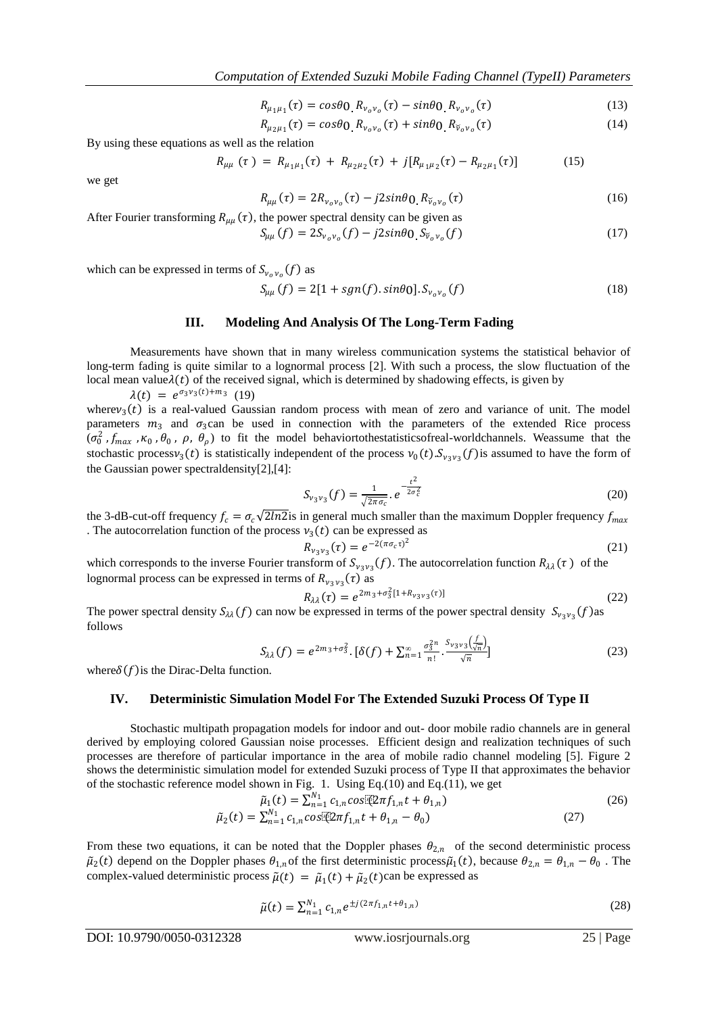$$
R_{\mu_1\mu_1}(\tau) = \cos\theta_0 \ R_{\nu_o\nu_o}(\tau) - \sin\theta_0 \ R_{\nu_o\nu_o}(\tau) \tag{13}
$$

$$
R_{\mu_2\mu_1}(\tau) = \cos\theta_0 \ R_{\nu_o\nu_o}(\tau) + \sin\theta_0 \ R_{\tilde{\nu}_o\nu_o}(\tau) \tag{14}
$$

By using these equations as well as the relation

$$
R_{\mu\mu} (\tau) = R_{\mu_1\mu_1}(\tau) + R_{\mu_2\mu_2}(\tau) + j[R_{\mu_1\mu_2}(\tau) - R_{\mu_2\mu_1}(\tau)] \tag{15}
$$

we get

$$
R_{\mu\mu}(\tau) = 2R_{\nu_o\nu_o}(\tau) - j2\sin\theta_0 R_{\tilde{\nu}_o\nu_o}(\tau)
$$
\n(16)

After Fourier transforming  $R_{\mu\mu}(\tau)$ , the power spectral density can be given as  $S_{\mu\mu}(f) = 2S_{\nu_o\nu_o}(f) - j2sin\theta_0 S_{\tilde{\nu}_o\nu_o}$  $(f)$  (17)

which can be expressed in terms of  $S_{v_0v_0}(f)$  as

$$
S_{\mu\mu}(f) = 2[1 + sgn(f).sin\theta_0]. S_{\nu_o\nu_o}(f)
$$
\n(18)

## **III. Modeling And Analysis Of The Long-Term Fading**

Measurements have shown that in many wireless communication systems the statistical behavior of long-term fading is quite similar to a lognormal process [2]. With such a process, the slow fluctuation of the local mean value $\lambda(t)$  of the received signal, which is determined by shadowing effects, is given by

 $\lambda(t) = e^{\sigma_3 v_3(t) + m_3}$  (19)

where  $v_3(t)$  is a real-valued Gaussian random process with mean of zero and variance of unit. The model parameters  $m_3$  and  $\sigma_3$ can be used in connection with the parameters of the extended Rice process  $(\sigma_0^2$ ,  $f_{max}$ ,  $\kappa_0$ ,  $\theta_0$ ,  $\rho$ ,  $\theta_\rho$ ) to fit the model behaviortothestatisticsofreal-worldchannels. Weassume that the stochastic process  $v_3(t)$  is statistically independent of the process  $v_0(t)$ .  $S_{v_3v_3}(f)$  is assumed to have the form of the Gaussian power spectraldensity[2],[4]:

$$
S_{\nu_3\nu_3}(f) = \frac{1}{\sqrt{2\pi\sigma_c}} \cdot e^{-\frac{t^2}{2\sigma_c^2}} \tag{20}
$$

the 3-dB-cut-off frequency  $f_c = \sigma_c \sqrt{2\ln 2}$  is in general much smaller than the maximum Doppler frequency  $f_{max}$ . The autocorrelation function of the process  $v_3(t)$  can be expressed as

$$
R_{\nu_3\nu_3}(\tau) = e^{-2(\pi\sigma_c\tau)^2} \tag{21}
$$

which corresponds to the inverse Fourier transform of  $S_{v_3v_3}(f)$ . The autocorrelation function  $R_{\lambda\lambda}(\tau)$  of the lognormal process can be expressed in terms of  $R_{\nu_3\nu_3}(\tau)$  as

$$
R_{\lambda\lambda}(\tau) = e^{2m_3 + \sigma_3^2 [1 + R_{\nu_3\nu_3}(\tau)]}
$$
\n(22)

The power spectral density  $S_{\lambda\lambda}(f)$  can now be expressed in terms of the power spectral density  $S_{\nu_3\nu_3}(f)$  as follows

$$
S_{\lambda\lambda}(f) = e^{2m_3 + \sigma_3^2} \cdot [\delta(f) + \sum_{n=1}^{\infty} \frac{\sigma_3^{2n}}{n!} \cdot \frac{S_{\nu_3\nu_3}\left(\frac{f}{\sqrt{n}}\right)}{\sqrt{n}}]
$$
(23)

where  $\delta(f)$  is the Dirac-Delta function.

#### **IV. Deterministic Simulation Model For The Extended Suzuki Process Of Type II**

Stochastic multipath propagation models for indoor and out- door mobile radio channels are in general derived by employing colored Gaussian noise processes. Efficient design and realization techniques of such processes are therefore of particular importance in the area of mobile radio channel modeling [5]. Figure 2 shows the deterministic simulation model for extended Suzuki process of Type II that approximates the behavior of the stochastic reference model shown in Fig. 1. Using Eq.(10) and Eq.(11), we get

$$
\tilde{\mu}_1(t) = \sum_{n=1}^{N_1} c_{1,n} \cos[\Omega \pi f_{1,n} t + \theta_{1,n})
$$
\n
$$
\tilde{\mu}_2(t) = \sum_{n=1}^{N_1} c_{1,n} \cos[\Omega \pi f_{1,n} t + \theta_{1,n} - \theta_0)
$$
\n(27)

From these two equations, it can be noted that the Doppler phases  $\theta_{2,n}$  of the second deterministic process  $\tilde{\mu}_2(t)$  depend on the Doppler phases  $\theta_{1,n}$  of the first deterministic process  $\tilde{\mu}_1(t)$ , because  $\theta_{2,n} = \theta_{1,n} - \theta_0$ . The complex-valued deterministic process  $\tilde{\mu}(t) = \tilde{\mu}_1(t) + \tilde{\mu}_2(t)$ can be expressed as

$$
\tilde{\mu}(t) = \sum_{n=1}^{N_1} c_{1,n} e^{\pm j (2\pi f_{1,n} t + \theta_{1,n})}
$$
\n(28)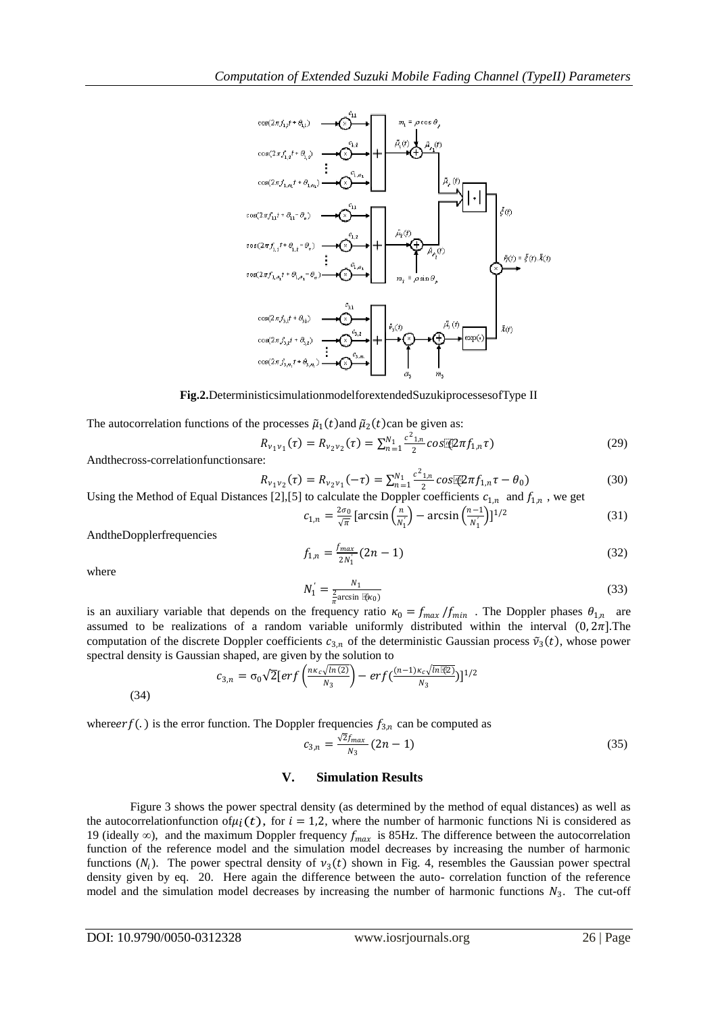

**Fig.2.**DeterministicsimulationmodelforextendedSuzukiprocessesofType II

The autocorrelation functions of the processes  $\tilde{\mu}_1(t)$  and  $\tilde{\mu}_2(t)$  can be given as:

$$
R_{v_1v_1}(\tau) = R_{v_2v_2}(\tau) = \sum_{n=1}^{N_1} \frac{c^2_{1,n}}{2} \cos[\Phi \pi f_{1,n} \tau]
$$
(29)

Andthecross-correlationfunctionsare:

$$
R_{v_1v_2}(\tau) = R_{v_2v_1}(-\tau) = \sum_{n=1}^{N_1} \frac{c^2_{1,n}}{2} \cos[\mathcal{L}\pi f_{1,n}\tau - \theta_0]
$$
(30)

Using the Method of Equal Distances [2], [5] to calculate the Doppler coefficients  $c_{1,n}$  and  $f_{1,n}$ , we get

$$
c_{1,n} = \frac{2\sigma_0}{\sqrt{\pi}} \left[ \arcsin\left(\frac{n}{N_1}\right) - \arcsin\left(\frac{n-1}{N_1}\right) \right]^{1/2} \tag{31}
$$

AndtheDopplerfrequencies

$$
f_{1,n} = \frac{f_{max}}{2N_1} (2n - 1) \tag{32}
$$

where

$$
V_1' = \frac{N_1}{\frac{2}{\pi} \arcsin \mathbb{F}(\kappa_0)}
$$
(33)

is an auxiliary variable that depends on the frequency ratio  $\kappa_0 = f_{max}/f_{min}$ . The Doppler phases  $\theta_{1,n}$  are assumed to be realizations of a random variable uniformly distributed within the interval  $(0, 2\pi)$ . The computation of the discrete Doppler coefficients  $c_{3,n}$  of the deterministic Gaussian process  $\tilde{v}_3(t)$ , whose power spectral density is Gaussian shaped, are given by the solution to

$$
c_{3,n} = \sigma_0 \sqrt{2} \left[ erf \left( \frac{n\kappa_c \sqrt{ln(2)}}{N_3} \right) - erf \left( \frac{(n-1)\kappa_c \sqrt{ln(2)}}{N_3} \right) \right]^{1/2}
$$

(34)

where *erf* (.) is the error function. The Doppler frequencies  $f_{3,n}$  can be computed as

1

$$
c_{3,n} = \frac{\sqrt{2}f_{max}}{N_3} (2n - 1) \tag{35}
$$

## **V. Simulation Results**

Figure 3 shows the power spectral density (as determined by the method of equal distances) as well as the autocorrelationfunction of  $\mu_i(t)$ , for  $i = 1,2$ , where the number of harmonic functions Ni is considered as 19 (ideally  $\infty$ ), and the maximum Doppler frequency  $f_{max}$  is 85Hz. The difference between the autocorrelation function of the reference model and the simulation model decreases by increasing the number of harmonic functions  $(N_i)$ . The power spectral density of  $\nu_3(t)$  shown in Fig. 4, resembles the Gaussian power spectral density given by eq. 20. Here again the difference between the auto- correlation function of the reference model and the simulation model decreases by increasing the number of harmonic functions  $N_3$ . The cut-off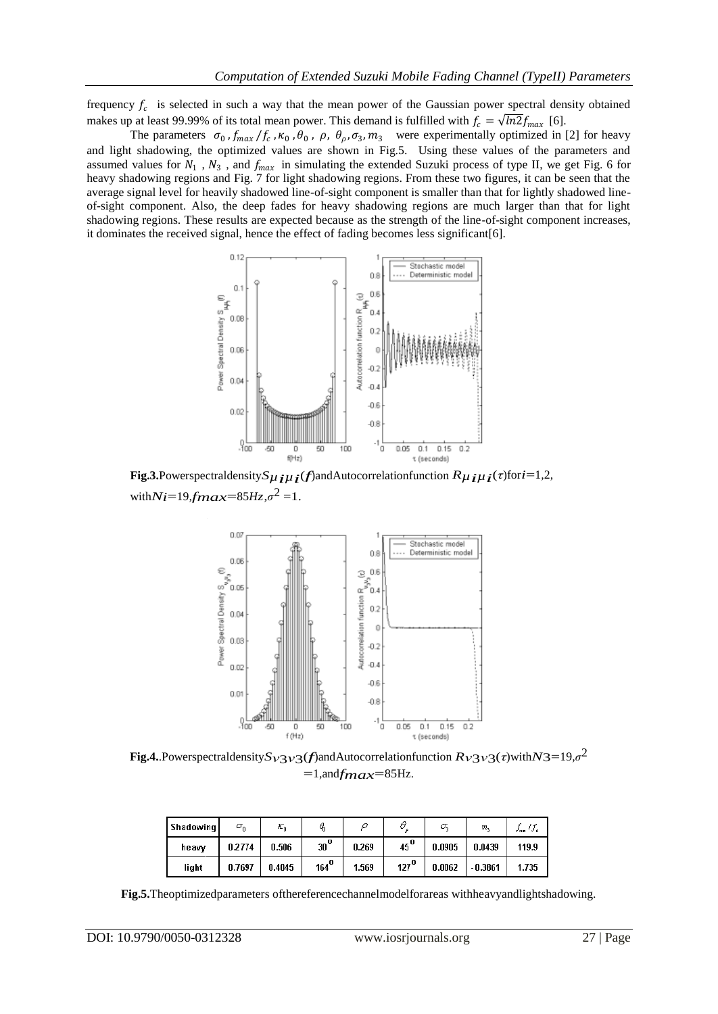frequency  $f_c$  is selected in such a way that the mean power of the Gaussian power spectral density obtained makes up at least 99.99% of its total mean power. This demand is fulfilled with  $f_c = \sqrt{ln2f_{max}}$  [6].

The parameters  $\sigma_0$ ,  $f_{max}/f_c$ ,  $\kappa_0$ ,  $\theta_0$ ,  $\rho$ ,  $\theta_\rho$ ,  $\sigma_3$ ,  $m_3$  were experimentally optimized in [2] for heavy and light shadowing, the optimized values are shown in Fig.5. Using these values of the parameters and assumed values for  $N_1$ ,  $N_3$ , and  $f_{max}$  in simulating the extended Suzuki process of type II, we get Fig. 6 for heavy shadowing regions and Fig. 7 for light shadowing regions. From these two figures, it can be seen that the average signal level for heavily shadowed line-of-sight component is smaller than that for lightly shadowed lineof-sight component. Also, the deep fades for heavy shadowing regions are much larger than that for light shadowing regions. These results are expected because as the strength of the line-of-sight component increases, it dominates the received signal, hence the effect of fading becomes less significant[6].



**Fig.3.**Powerspectraldensity $S$  $\mu$ *i* $\mu$ *i*(*f*)andAutocorrelationfunction  $R$  $\mu$ *i* $\mu$ *i*(*τ*)for*i*=1,2, with $Ni=19$ *fmax*=85*Hz*, $\sigma^2$  =1.



**Fig.4.**.Powerspectraldensity*Sν*3*ν*3(*f*)andAutocorrelationfunction *Rν*3*ν*3(*τ*)with*N*3=19*,σ* 2  $=1$ , and  $f_{max}=85$  Hz.

| Shadowing | $\sigma_{0}$ | $\scriptstyle{\boldsymbol{\scriptstyle{K_0}}}$ | ą                  |       |                  | σ,     | m,        | Y ND. |
|-----------|--------------|------------------------------------------------|--------------------|-------|------------------|--------|-----------|-------|
| heaw      | 0.2774       | 0.506                                          | $30^{\circ}$       | 0.269 | $45^{\circ}$     | 0.0905 | 0.0439    | 119.9 |
| light     | 0.7697       | 0.4045                                         | $164^{\mathbf{0}}$ | 1.569 | 127 <sup>0</sup> | 0.0062 | $-0.3861$ | 1.735 |

**Fig.5.**Theoptimizedparameters ofthereferencechannelmodelforareas withheavyandlightshadowing.